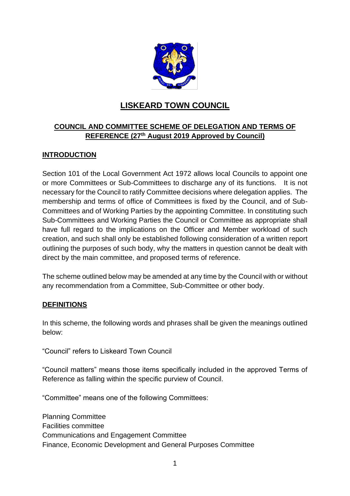

# **LISKEARD TOWN COUNCIL**

# **COUNCIL AND COMMITTEE SCHEME OF DELEGATION AND TERMS OF REFERENCE (27th August 2019 Approved by Council)**

### **INTRODUCTION**

Section 101 of the Local Government Act 1972 allows local Councils to appoint one or more Committees or Sub-Committees to discharge any of its functions. It is not necessary for the Council to ratify Committee decisions where delegation applies. The membership and terms of office of Committees is fixed by the Council, and of Sub-Committees and of Working Parties by the appointing Committee. In constituting such Sub-Committees and Working Parties the Council or Committee as appropriate shall have full regard to the implications on the Officer and Member workload of such creation, and such shall only be established following consideration of a written report outlining the purposes of such body, why the matters in question cannot be dealt with direct by the main committee, and proposed terms of reference.

The scheme outlined below may be amended at any time by the Council with or without any recommendation from a Committee, Sub-Committee or other body.

### **DEFINITIONS**

In this scheme, the following words and phrases shall be given the meanings outlined below:

"Council" refers to Liskeard Town Council

"Council matters" means those items specifically included in the approved Terms of Reference as falling within the specific purview of Council.

"Committee" means one of the following Committees:

Planning Committee Facilities committee Communications and Engagement Committee Finance, Economic Development and General Purposes Committee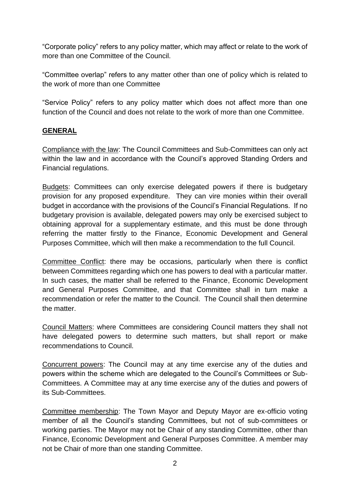"Corporate policy" refers to any policy matter, which may affect or relate to the work of more than one Committee of the Council.

"Committee overlap" refers to any matter other than one of policy which is related to the work of more than one Committee

"Service Policy" refers to any policy matter which does not affect more than one function of the Council and does not relate to the work of more than one Committee.

### **GENERAL**

Compliance with the law: The Council Committees and Sub-Committees can only act within the law and in accordance with the Council's approved Standing Orders and Financial regulations.

Budgets: Committees can only exercise delegated powers if there is budgetary provision for any proposed expenditure. They can vire monies within their overall budget in accordance with the provisions of the Council's Financial Regulations. If no budgetary provision is available, delegated powers may only be exercised subject to obtaining approval for a supplementary estimate, and this must be done through referring the matter firstly to the Finance, Economic Development and General Purposes Committee, which will then make a recommendation to the full Council.

Committee Conflict: there may be occasions, particularly when there is conflict between Committees regarding which one has powers to deal with a particular matter. In such cases, the matter shall be referred to the Finance, Economic Development and General Purposes Committee, and that Committee shall in turn make a recommendation or refer the matter to the Council. The Council shall then determine the matter.

Council Matters: where Committees are considering Council matters they shall not have delegated powers to determine such matters, but shall report or make recommendations to Council.

Concurrent powers: The Council may at any time exercise any of the duties and powers within the scheme which are delegated to the Council's Committees or Sub-Committees. A Committee may at any time exercise any of the duties and powers of its Sub-Committees.

Committee membership: The Town Mayor and Deputy Mayor are ex-officio voting member of all the Council's standing Committees, but not of sub-committees or working parties. The Mayor may not be Chair of any standing Committee, other than Finance, Economic Development and General Purposes Committee. A member may not be Chair of more than one standing Committee.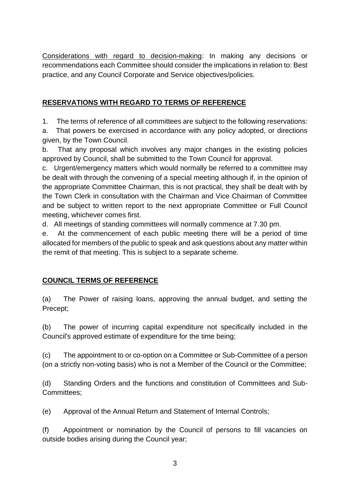Considerations with regard to decision-making: In making any decisions or recommendations each Committee should consider the implications in relation to: Best practice, and any Council Corporate and Service objectives/policies.

# **RESERVATIONS WITH REGARD TO TERMS OF REFERENCE**

1. The terms of reference of all committees are subject to the following reservations:

a. That powers be exercised in accordance with any policy adopted, or directions given, by the Town Council.

b. That any proposal which involves any major changes in the existing policies approved by Council, shall be submitted to the Town Council for approval.

c. Urgent/emergency matters which would normally be referred to a committee may be dealt with through the convening of a special meeting although if, in the opinion of the appropriate Committee Chairman, this is not practical, they shall be dealt with by the Town Clerk in consultation with the Chairman and Vice Chairman of Committee and be subject to written report to the next appropriate Committee or Full Council meeting, whichever comes first.

d. All meetings of standing committees will normally commence at 7.30 pm.

e. At the commencement of each public meeting there will be a period of time allocated for members of the public to speak and ask questions about any matter within the remit of that meeting. This is subject to a separate scheme.

# **COUNCIL TERMS OF REFERENCE**

(a) The Power of raising loans, approving the annual budget, and setting the Precept;

(b) The power of incurring capital expenditure not specifically included in the Council's approved estimate of expenditure for the time being;

(c) The appointment to or co-option on a Committee or Sub-Committee of a person (on a strictly non-voting basis) who is not a Member of the Council or the Committee;

(d) Standing Orders and the functions and constitution of Committees and Sub-Committees;

(e) Approval of the Annual Return and Statement of Internal Controls;

(f) Appointment or nomination by the Council of persons to fill vacancies on outside bodies arising during the Council year;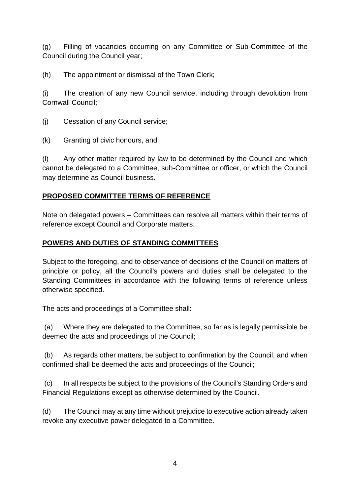(g) Filling of vacancies occurring on any Committee or Sub-Committee of the Council during the Council year;

(h) The appointment or dismissal of the Town Clerk;

(i) The creation of any new Council service, including through devolution from Cornwall Council;

(j) Cessation of any Council service;

(k) Granting of civic honours, and

(l) Any other matter required by law to be determined by the Council and which cannot be delegated to a Committee, sub-Committee or officer, or which the Council may determine as Council business.

### **PROPOSED COMMITTEE TERMS OF REFERENCE**

Note on delegated powers – Committees can resolve all matters within their terms of reference except Council and Corporate matters.

### **POWERS AND DUTIES OF STANDING COMMITTEES**

Subject to the foregoing, and to observance of decisions of the Council on matters of principle or policy, all the Council's powers and duties shall be delegated to the Standing Committees in accordance with the following terms of reference unless otherwise specified.

The acts and proceedings of a Committee shall:

(a) Where they are delegated to the Committee, so far as is legally permissible be deemed the acts and proceedings of the Council;

(b) As regards other matters, be subject to confirmation by the Council, and when confirmed shall be deemed the acts and proceedings of the Council;

(c) In all respects be subject to the provisions of the Council's Standing Orders and Financial Regulations except as otherwise determined by the Council.

(d) The Council may at any time without prejudice to executive action already taken revoke any executive power delegated to a Committee.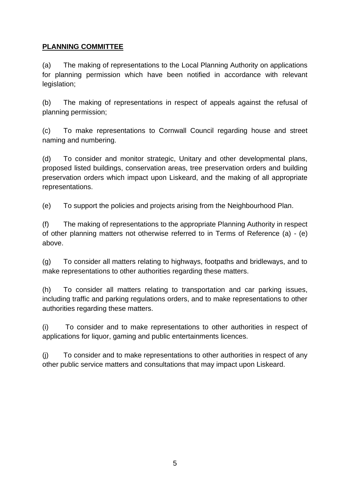# **PLANNING COMMITTEE**

(a) The making of representations to the Local Planning Authority on applications for planning permission which have been notified in accordance with relevant legislation;

(b) The making of representations in respect of appeals against the refusal of planning permission;

(c) To make representations to Cornwall Council regarding house and street naming and numbering.

(d) To consider and monitor strategic, Unitary and other developmental plans, proposed listed buildings, conservation areas, tree preservation orders and building preservation orders which impact upon Liskeard, and the making of all appropriate representations.

(e) To support the policies and projects arising from the Neighbourhood Plan.

(f) The making of representations to the appropriate Planning Authority in respect of other planning matters not otherwise referred to in Terms of Reference (a) - (e) above.

(g) To consider all matters relating to highways, footpaths and bridleways, and to make representations to other authorities regarding these matters.

(h) To consider all matters relating to transportation and car parking issues, including traffic and parking regulations orders, and to make representations to other authorities regarding these matters.

(i) To consider and to make representations to other authorities in respect of applications for liquor, gaming and public entertainments licences.

(j) To consider and to make representations to other authorities in respect of any other public service matters and consultations that may impact upon Liskeard.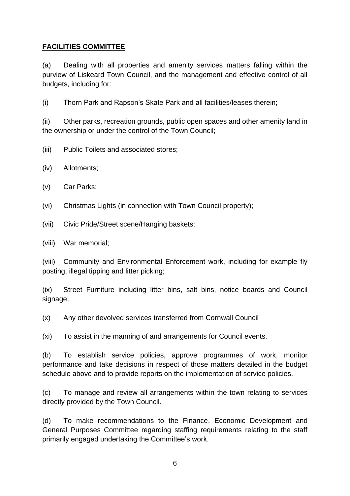## **FACILITIES COMMITTEE**

(a) Dealing with all properties and amenity services matters falling within the purview of Liskeard Town Council, and the management and effective control of all budgets, including for:

(i) Thorn Park and Rapson's Skate Park and all facilities/leases therein;

(ii) Other parks, recreation grounds, public open spaces and other amenity land in the ownership or under the control of the Town Council;

(iii) Public Toilets and associated stores;

(iv) Allotments;

(v) Car Parks;

(vi) Christmas Lights (in connection with Town Council property);

(vii) Civic Pride/Street scene/Hanging baskets;

(viii) War memorial;

(viii) Community and Environmental Enforcement work, including for example fly posting, illegal tipping and litter picking;

(ix) Street Furniture including litter bins, salt bins, notice boards and Council signage;

(x) Any other devolved services transferred from Cornwall Council

(xi) To assist in the manning of and arrangements for Council events.

(b) To establish service policies, approve programmes of work, monitor performance and take decisions in respect of those matters detailed in the budget schedule above and to provide reports on the implementation of service policies.

(c) To manage and review all arrangements within the town relating to services directly provided by the Town Council.

(d) To make recommendations to the Finance, Economic Development and General Purposes Committee regarding staffing requirements relating to the staff primarily engaged undertaking the Committee's work.

6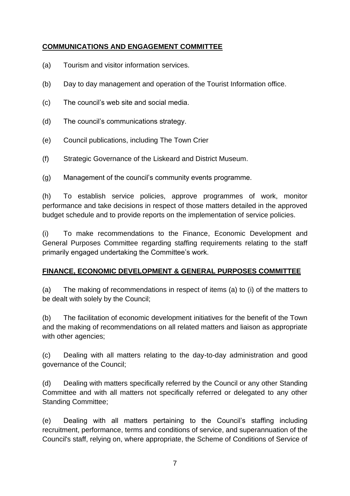# **COMMUNICATIONS AND ENGAGEMENT COMMITTEE**

- (a) Tourism and visitor information services.
- (b) Day to day management and operation of the Tourist Information office.
- (c) The council's web site and social media.
- (d) The council's communications strategy.
- (e) Council publications, including The Town Crier
- (f) Strategic Governance of the Liskeard and District Museum.
- (g) Management of the council's community events programme.

(h) To establish service policies, approve programmes of work, monitor performance and take decisions in respect of those matters detailed in the approved budget schedule and to provide reports on the implementation of service policies.

(i) To make recommendations to the Finance, Economic Development and General Purposes Committee regarding staffing requirements relating to the staff primarily engaged undertaking the Committee's work.

### **FINANCE, ECONOMIC DEVELOPMENT & GENERAL PURPOSES COMMITTEE**

(a) The making of recommendations in respect of items (a) to (i) of the matters to be dealt with solely by the Council;

(b) The facilitation of economic development initiatives for the benefit of the Town and the making of recommendations on all related matters and liaison as appropriate with other agencies;

(c) Dealing with all matters relating to the day-to-day administration and good governance of the Council;

(d) Dealing with matters specifically referred by the Council or any other Standing Committee and with all matters not specifically referred or delegated to any other Standing Committee;

(e) Dealing with all matters pertaining to the Council's staffing including recruitment, performance, terms and conditions of service, and superannuation of the Council's staff, relying on, where appropriate, the Scheme of Conditions of Service of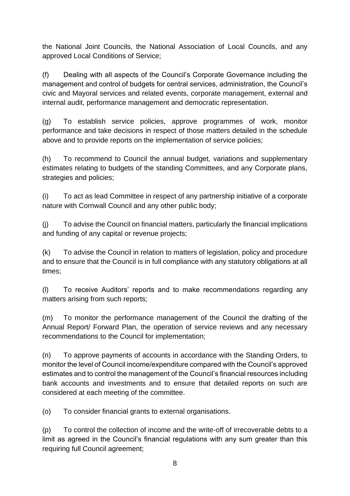the National Joint Councils, the National Association of Local Councils, and any approved Local Conditions of Service;

(f) Dealing with all aspects of the Council's Corporate Governance including the management and control of budgets for central services, administration, the Council's civic and Mayoral services and related events, corporate management, external and internal audit, performance management and democratic representation.

(g) To establish service policies, approve programmes of work, monitor performance and take decisions in respect of those matters detailed in the schedule above and to provide reports on the implementation of service policies;

(h) To recommend to Council the annual budget, variations and supplementary estimates relating to budgets of the standing Committees, and any Corporate plans, strategies and policies;

(i) To act as lead Committee in respect of any partnership initiative of a corporate nature with Cornwall Council and any other public body;

(j) To advise the Council on financial matters, particularly the financial implications and funding of any capital or revenue projects;

(k) To advise the Council in relation to matters of legislation, policy and procedure and to ensure that the Council is in full compliance with any statutory obligations at all times;

(l) To receive Auditors' reports and to make recommendations regarding any matters arising from such reports;

(m) To monitor the performance management of the Council the drafting of the Annual Report/ Forward Plan, the operation of service reviews and any necessary recommendations to the Council for implementation;

(n) To approve payments of accounts in accordance with the Standing Orders, to monitor the level of Council income/expenditure compared with the Council's approved estimates and to control the management of the Council's financial resources including bank accounts and investments and to ensure that detailed reports on such are considered at each meeting of the committee.

(o) To consider financial grants to external organisations.

(p) To control the collection of income and the write-off of irrecoverable debts to a limit as agreed in the Council's financial regulations with any sum greater than this requiring full Council agreement;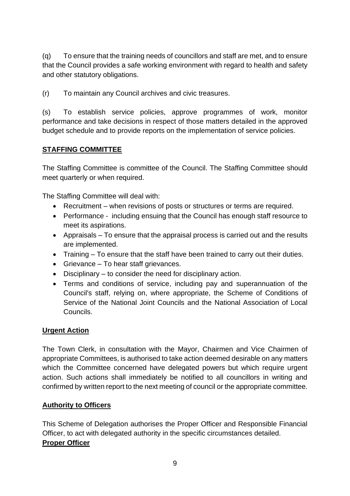(q) To ensure that the training needs of councillors and staff are met, and to ensure that the Council provides a safe working environment with regard to health and safety and other statutory obligations.

(r) To maintain any Council archives and civic treasures.

(s) To establish service policies, approve programmes of work, monitor performance and take decisions in respect of those matters detailed in the approved budget schedule and to provide reports on the implementation of service policies.

### **STAFFING COMMITTEE**

The Staffing Committee is committee of the Council. The Staffing Committee should meet quarterly or when required.

The Staffing Committee will deal with:

- Recruitment when revisions of posts or structures or terms are required.
- Performance including ensuing that the Council has enough staff resource to meet its aspirations.
- Appraisals To ensure that the appraisal process is carried out and the results are implemented.
- Training To ensure that the staff have been trained to carry out their duties.
- Grievance To hear staff grievances.
- Disciplinary to consider the need for disciplinary action.
- Terms and conditions of service, including pay and superannuation of the Council's staff, relying on, where appropriate, the Scheme of Conditions of Service of the National Joint Councils and the National Association of Local Councils.

### **Urgent Action**

The Town Clerk, in consultation with the Mayor, Chairmen and Vice Chairmen of appropriate Committees, is authorised to take action deemed desirable on any matters which the Committee concerned have delegated powers but which require urgent action. Such actions shall immediately be notified to all councillors in writing and confirmed by written report to the next meeting of council or the appropriate committee.

### **Authority to Officers**

This Scheme of Delegation authorises the Proper Officer and Responsible Financial Officer, to act with delegated authority in the specific circumstances detailed. **Proper Officer**